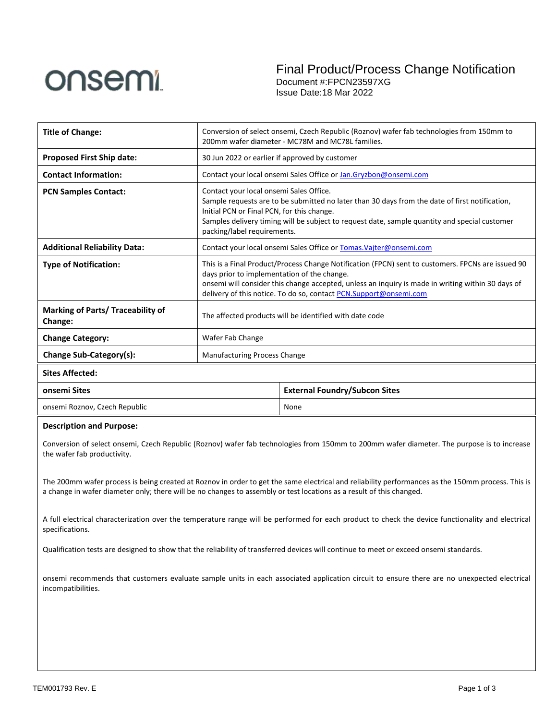

Final Product/Process Change Notification Document #:FPCN23597XG

Issue Date:18 Mar 2022

| <b>Title of Change:</b>                                    | Conversion of select onsemi, Czech Republic (Roznov) wafer fab technologies from 150mm to<br>200mm wafer diameter - MC78M and MC78L families.                                                                                                                                                                              |                                      |  |
|------------------------------------------------------------|----------------------------------------------------------------------------------------------------------------------------------------------------------------------------------------------------------------------------------------------------------------------------------------------------------------------------|--------------------------------------|--|
| <b>Proposed First Ship date:</b>                           | 30 Jun 2022 or earlier if approved by customer                                                                                                                                                                                                                                                                             |                                      |  |
| <b>Contact Information:</b>                                | Contact your local onsemi Sales Office or Jan.Gryzbon@onsemi.com                                                                                                                                                                                                                                                           |                                      |  |
| <b>PCN Samples Contact:</b>                                | Contact your local onsemi Sales Office.<br>Sample requests are to be submitted no later than 30 days from the date of first notification,<br>Initial PCN or Final PCN, for this change.<br>Samples delivery timing will be subject to request date, sample quantity and special customer<br>packing/label requirements.    |                                      |  |
| <b>Additional Reliability Data:</b>                        | Contact your local onsemi Sales Office or Tomas. Vajter@onsemi.com                                                                                                                                                                                                                                                         |                                      |  |
| <b>Type of Notification:</b>                               | This is a Final Product/Process Change Notification (FPCN) sent to customers. FPCNs are issued 90<br>days prior to implementation of the change.<br>onsemi will consider this change accepted, unless an inquiry is made in writing within 30 days of<br>delivery of this notice. To do so, contact PCN.Support@onsemi.com |                                      |  |
| <b>Marking of Parts/ Traceability of</b><br><b>Change:</b> | The affected products will be identified with date code                                                                                                                                                                                                                                                                    |                                      |  |
| <b>Change Category:</b>                                    | Wafer Fab Change                                                                                                                                                                                                                                                                                                           |                                      |  |
| Change Sub-Category(s):                                    | <b>Manufacturing Process Change</b>                                                                                                                                                                                                                                                                                        |                                      |  |
| <b>Sites Affected:</b>                                     |                                                                                                                                                                                                                                                                                                                            |                                      |  |
| onsemi Sites                                               |                                                                                                                                                                                                                                                                                                                            | <b>External Foundry/Subcon Sites</b> |  |

| onsemi Roznov, Czech Republic |  | None |
|-------------------------------|--|------|
|-------------------------------|--|------|

## **Description and Purpose:**

Conversion of select onsemi, Czech Republic (Roznov) wafer fab technologies from 150mm to 200mm wafer diameter. The purpose is to increase the wafer fab productivity.

The 200mm wafer process is being created at Roznov in order to get the same electrical and reliability performances as the 150mm process. This is a change in wafer diameter only; there will be no changes to assembly or test locations as a result of this changed.

A full electrical characterization over the temperature range will be performed for each product to check the device functionality and electrical specifications.

Qualification tests are designed to show that the reliability of transferred devices will continue to meet or exceed onsemi standards.

onsemi recommends that customers evaluate sample units in each associated application circuit to ensure there are no unexpected electrical incompatibilities.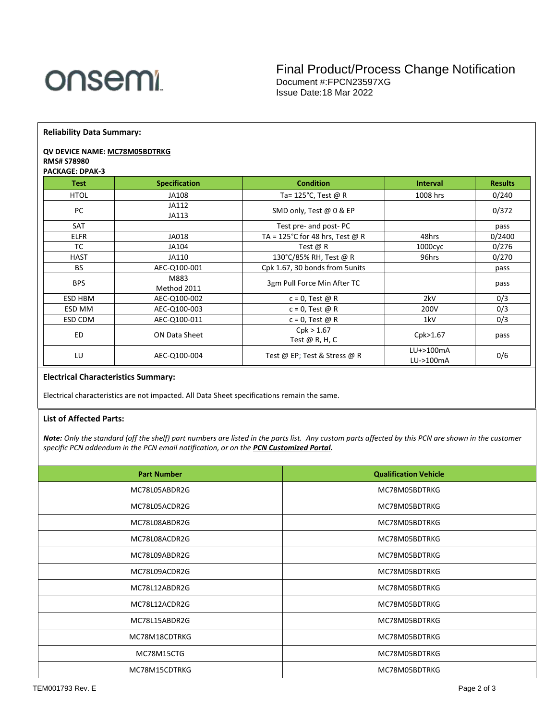

**Reliability Data Summary:**

## **QV DEVICE NAME: MC78M05BDTRKG RMS# S78980**

#### **PACKAGE: DPAK-3**

| <b>Test</b> | <b>Specification</b> | <b>Condition</b>                | <b>Interval</b>        | <b>Results</b> |
|-------------|----------------------|---------------------------------|------------------------|----------------|
| <b>HTOL</b> | JA108                | Ta= $125^{\circ}$ C, Test @ R   | 1008 hrs               | 0/240          |
| PC          | JA112<br>JA113       | SMD only, Test @ 0 & EP         |                        | 0/372          |
| <b>SAT</b>  |                      | Test pre- and post-PC           |                        | pass           |
| <b>ELFR</b> | JA018                | TA = 125°C for 48 hrs, Test @ R | 48hrs                  | 0/2400         |
| TC          | JA104                | Test $\omega$ R                 | 1000cyc                | 0/276          |
| <b>HAST</b> | JA110                | 130°C/85% RH, Test @ R          | 96hrs                  | 0/270          |
| <b>BS</b>   | AEC-Q100-001         | Cpk 1.67, 30 bonds from 5 units |                        | pass           |
| <b>BPS</b>  | M883<br>Method 2011  | 3gm Pull Force Min After TC     |                        | pass           |
| ESD HBM     | AEC-Q100-002         | $c = 0$ , Test @ R              | 2kV                    | 0/3            |
| ESD MM      | AEC-Q100-003         | $c = 0$ , Test @ R              | 200V                   | 0/3            |
| ESD CDM     | AEC-Q100-011         | $c = 0$ , Test @ R              | 1kV                    | 0/3            |
| ED          | ON Data Sheet        | Cpk > 1.67<br>Test $@$ R, H, C  | Cpk>1.67               | pass           |
| LU          | AEC-Q100-004         | Test @ EP; Test & Stress @ R    | LU+>100mA<br>LU->100mA | 0/6            |

# **Electrical Characteristics Summary:**

Electrical characteristics are not impacted. All Data Sheet specifications remain the same.

## **List of Affected Parts:**

*Note: Only the standard (off the shelf) part numbers are listed in the parts list. Any custom parts affected by this PCN are shown in the customer specific PCN addendum in the PCN email notification, or on the [PCN Customized Portal.](https://www.onsemi.com/PowerSolutions/pcn.do)*

| <b>Part Number</b> | <b>Qualification Vehicle</b> |
|--------------------|------------------------------|
| MC78L05ABDR2G      | MC78M05BDTRKG                |
| MC78L05ACDR2G      | MC78M05BDTRKG                |
| MC78L08ABDR2G      | MC78M05BDTRKG                |
| MC78L08ACDR2G      | MC78M05BDTRKG                |
| MC78L09ABDR2G      | MC78M05BDTRKG                |
| MC78L09ACDR2G      | MC78M05BDTRKG                |
| MC78L12ABDR2G      | MC78M05BDTRKG                |
| MC78L12ACDR2G      | MC78M05BDTRKG                |
| MC78L15ABDR2G      | MC78M05BDTRKG                |
| MC78M18CDTRKG      | MC78M05BDTRKG                |
| MC78M15CTG         | MC78M05BDTRKG                |
| MC78M15CDTRKG      | MC78M05BDTRKG                |